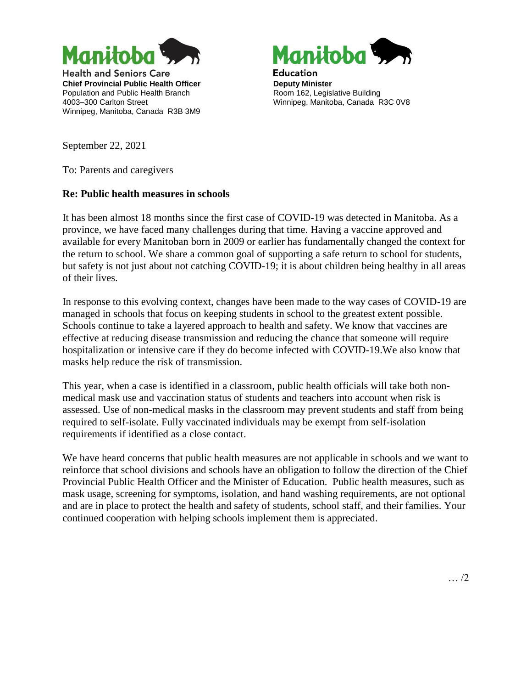

**Health and Seniors Care Chief Provincial Public Health Officer** Population and Public Health Branch 4003–300 Carlton Street Winnipeg, Manitoba, Canada R3B 3M9



**Education Deputy Minister** Room 162, Legislative Building Winnipeg, Manitoba, Canada R3C 0V8

September 22, 2021

To: Parents and caregivers

## **Re: Public health measures in schools**

It has been almost 18 months since the first case of COVID-19 was detected in Manitoba. As a province, we have faced many challenges during that time. Having a vaccine approved and available for every Manitoban born in 2009 or earlier has fundamentally changed the context for the return to school. We share a common goal of supporting a safe return to school for students, but safety is not just about not catching COVID-19; it is about children being healthy in all areas of their lives.

In response to this evolving context, changes have been made to the way cases of COVID-19 are managed in schools that focus on keeping students in school to the greatest extent possible. Schools continue to take a layered approach to health and safety. We know that vaccines are effective at reducing disease transmission and reducing the chance that someone will require hospitalization or intensive care if they do become infected with COVID-19.We also know that masks help reduce the risk of transmission.

This year, when a case is identified in a classroom, public health officials will take both nonmedical mask use and vaccination status of students and teachers into account when risk is assessed. Use of non-medical masks in the classroom may prevent students and staff from being required to self-isolate. Fully vaccinated individuals may be exempt from self-isolation requirements if identified as a close contact.

We have heard concerns that public health measures are not applicable in schools and we want to reinforce that school divisions and schools have an obligation to follow the direction of the Chief Provincial Public Health Officer and the Minister of Education. Public health measures, such as mask usage, screening for symptoms, isolation, and hand washing requirements, are not optional and are in place to protect the health and safety of students, school staff, and their families. Your continued cooperation with helping schools implement them is appreciated.